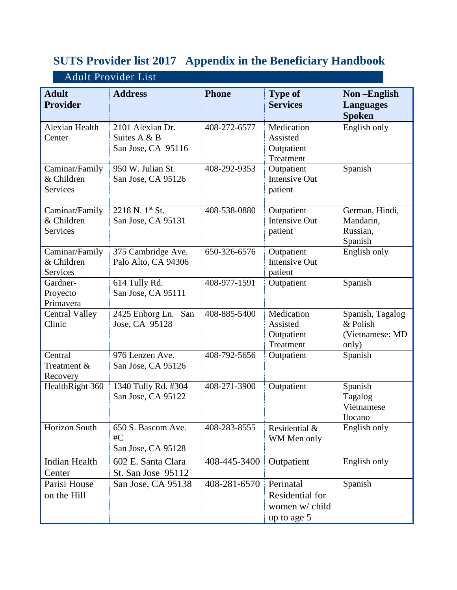## **SUTS Provider list 2017 Appendix in the Beneficiary Handbook**

| <b>Adult Provider List</b>                      |                                                        |                    |                                                               |                                                          |  |  |  |
|-------------------------------------------------|--------------------------------------------------------|--------------------|---------------------------------------------------------------|----------------------------------------------------------|--|--|--|
| <b>Adult</b><br><b>Provider</b>                 | <b>Address</b>                                         | <b>Phone</b>       | <b>Type of</b><br><b>Services</b>                             | Non-English<br><b>Languages</b><br><b>Spoken</b>         |  |  |  |
| Alexian Health<br>Center                        | 2101 Alexian Dr.<br>Suites A & B<br>San Jose, CA 95116 | 408-272-6577       | Medication<br>Assisted<br>Outpatient<br>Treatment             | English only                                             |  |  |  |
| Caminar/Family<br>& Children<br>Services        | 950 W. Julian St.<br>San Jose, CA 95126                | 408-292-9353       | Outpatient<br><b>Intensive Out</b><br>patient                 | Spanish                                                  |  |  |  |
| Caminar/Family<br>& Children<br><b>Services</b> | $2218$ N. $1^{st}$ St.<br>San Jose, CA 95131           | 408-538-0880       | Outpatient<br>Intensive Out<br>patient                        | German, Hindi,<br>Mandarin,<br>Russian,<br>Spanish       |  |  |  |
| Caminar/Family<br>& Children<br>Services        | 375 Cambridge Ave.<br>Palo Alto, CA 94306              | 650-326-6576       | Outpatient<br><b>Intensive Out</b><br>patient                 | English only                                             |  |  |  |
| Gardner-<br>Proyecto<br>Primavera               | 614 Tully Rd.<br>San Jose, CA 95111                    | $408 - 977 - 1591$ | Outpatient                                                    | Spanish                                                  |  |  |  |
| <b>Central Valley</b><br>Clinic                 | 2425 Enborg Ln.<br>San<br>Jose, CA 95128               | 408-885-5400       | Medication<br>Assisted<br>Outpatient<br>Treatment             | Spanish, Tagalog<br>& Polish<br>(Vietnamese: MD<br>only) |  |  |  |
| Central<br>Treatment &<br>Recovery              | 976 Lenzen Ave.<br>San Jose, CA 95126                  | 408-792-5656       | Outpatient                                                    | Spanish                                                  |  |  |  |
| HealthRight 360                                 | 1340 Tully Rd. #304<br>San Jose, CA 95122              | 408-271-3900       | Outpatient                                                    | Spanish<br>Tagalog<br>Vietnamese<br><b>Ilocano</b>       |  |  |  |
| <b>Horizon South</b>                            | 650 S. Bascom Ave.<br>$\#C$<br>San Jose, CA 95128      | 408-283-8555       | Residential &<br>WM Men only                                  | English only                                             |  |  |  |
| <b>Indian Health</b><br>Center                  | 602 E. Santa Clara<br>St. San Jose 95112               | 408-445-3400       | Outpatient                                                    | English only                                             |  |  |  |
| Parisi House<br>on the Hill                     | San Jose, CA 95138                                     | 408-281-6570       | Perinatal<br>Residential for<br>women w/ child<br>up to age 5 | Spanish                                                  |  |  |  |